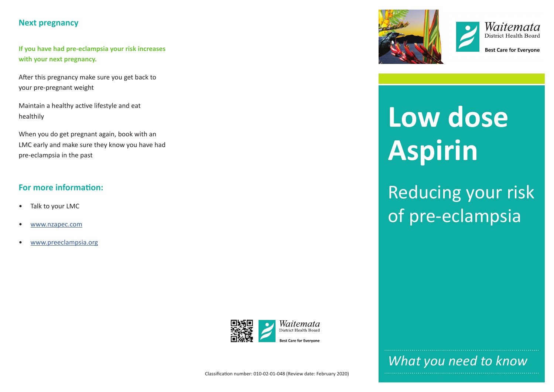# **Next pregnancy**

**If you have had pre-eclampsia your risk increases with your next pregnancy.** 

After this pregnancy make sure you get back to your pre-pregnant weight

Maintain a healthy active lifestyle and eat healthily

When you do get pregnant again, book with an LMC early and make sure they know you have had pre-eclampsia in the past

# **For more information:**

- Talk to your LMC
- [www.nzapec.com](http://www.nzapec.com)
- [www.preeclampsia.org](http://www.preeclampsia.org)





**Best Care for Evervone** 

# **Low dose Aspirin**

Reducing your risk of pre-eclampsia



*What you need to know*